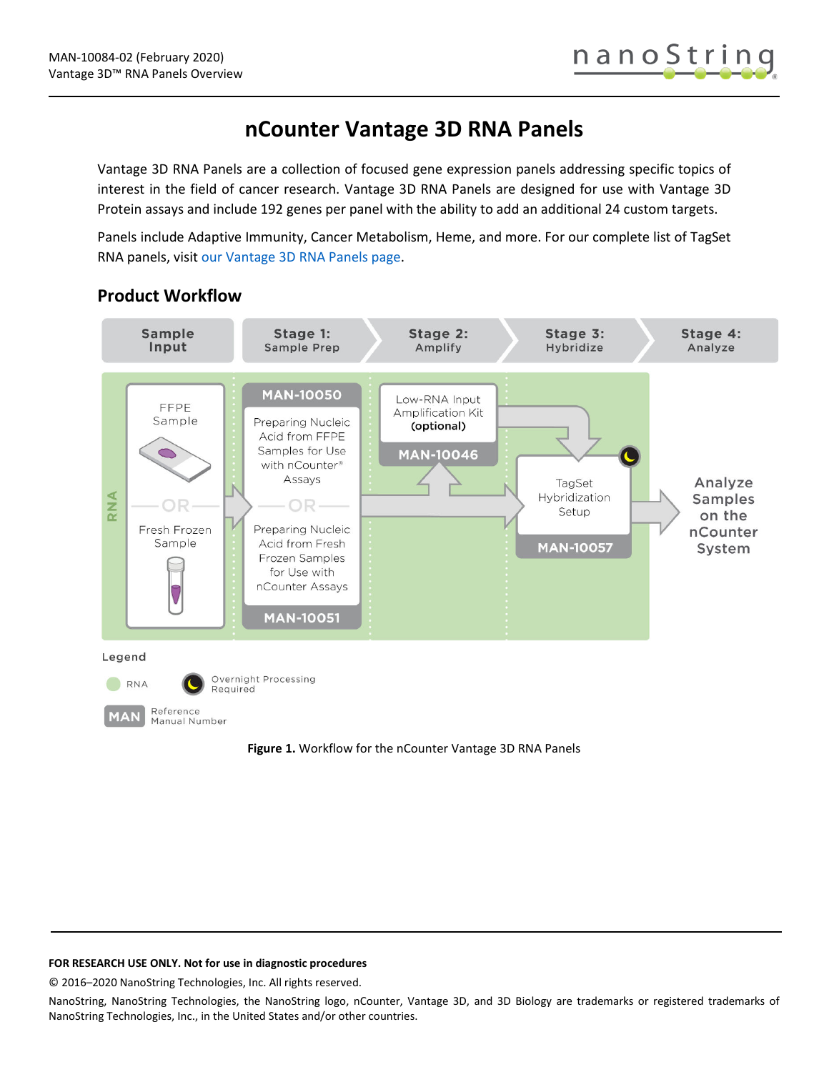# **nCounter Vantage 3D RNA Panels**

Vantage 3D RNA Panels are a collection of focused gene expression panels addressing specific topics of interest in the field of cancer research. Vantage 3D RNA Panels are designed for use with Vantage 3D Protein assays and include 192 genes per panel with the ability to add an additional 24 custom targets.

Panels include Adaptive Immunity, Cancer Metabolism, Heme, and more. For our complete list of TagSet RNA panels, visit [our Vantage 3D RNA Panels page.](https://www.nanostring.com/products/gene-expression-panels/ncounter-vantage-3d-rna-panels)



## **Product Workflow**

**Figure 1.** Workflow for the nCounter Vantage 3D RNA Panels

#### **FOR RESEARCH USE ONLY. Not for use in diagnostic procedures**

© 2016–2020 NanoString Technologies, Inc. All rights reserved.

NanoString, NanoString Technologies, the NanoString logo, nCounter, Vantage 3D, and 3D Biology are trademarks or registered trademarks of NanoString Technologies, Inc., in the United States and/or other countries.